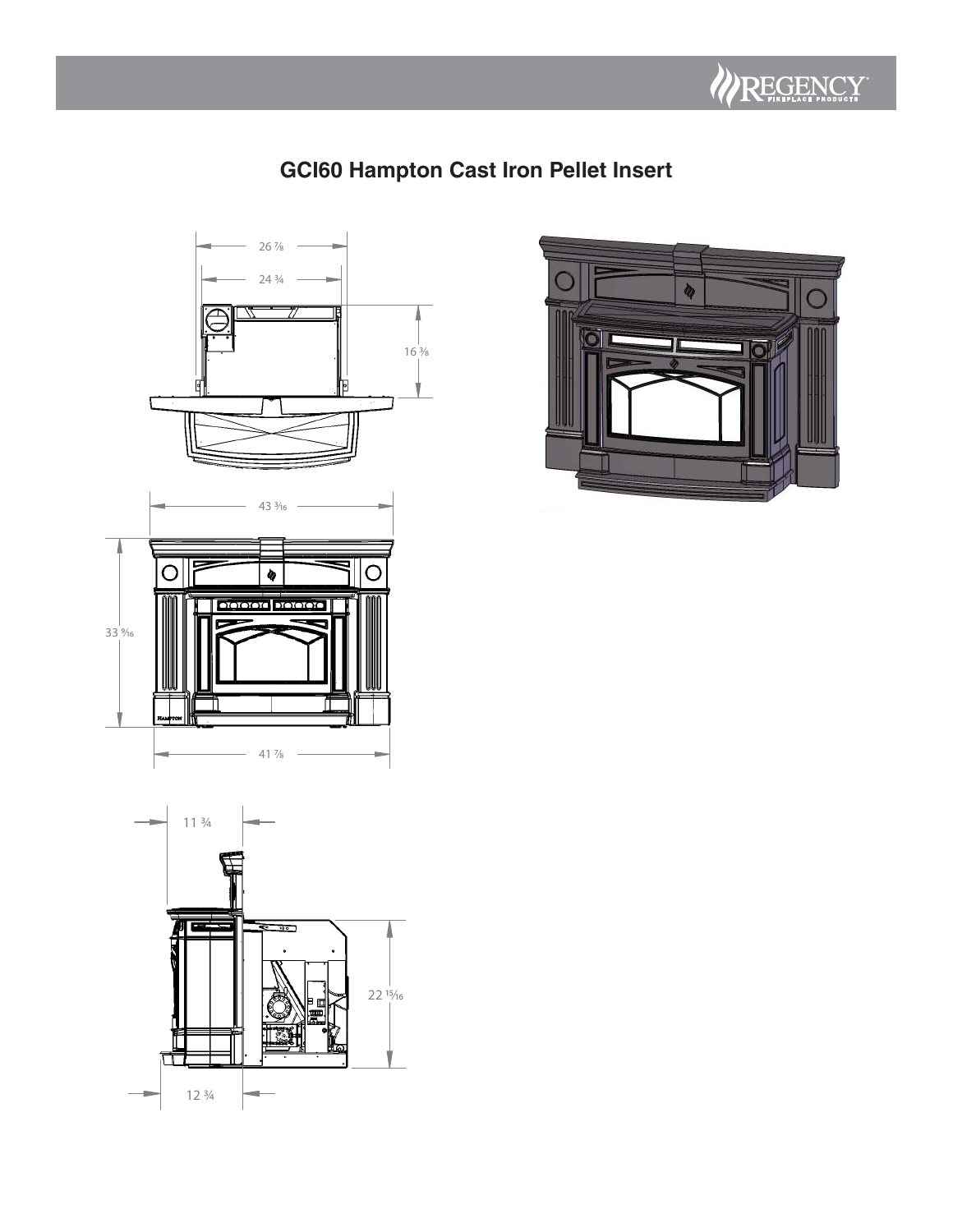

# **GCI60 Hampton Cast Iron Pellet Insert**





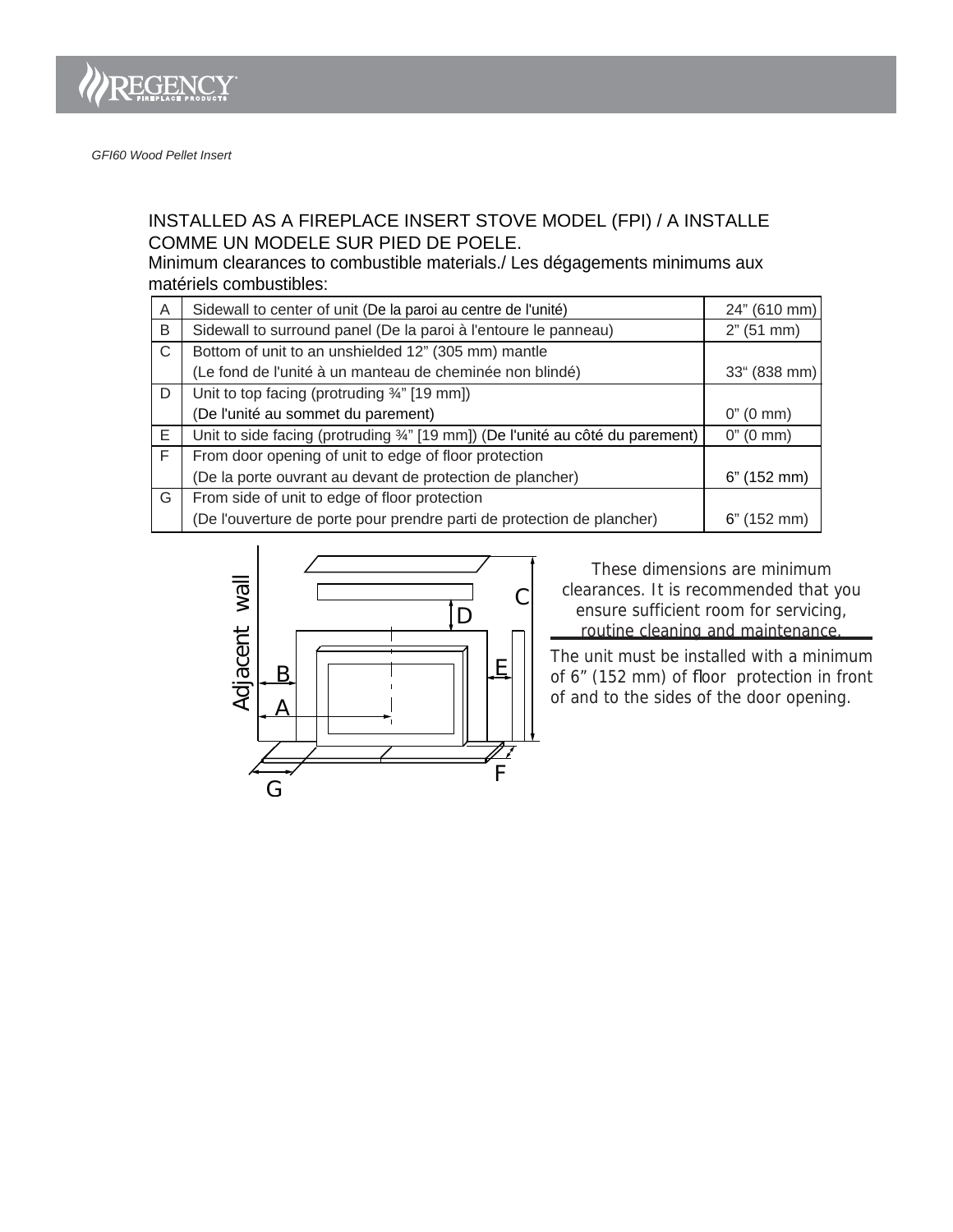

## INSTALLED AS A FIREPLACE INSERT STOVE MODEL (FPI) / A INSTALLE COMME UN MODELE SUR PIED DE POELE.

Minimum clearances to combustible materials./ Les dégagements minimums aux matériels combustibles:

| $\overline{A}$ | Sidewall to center of unit (De la paroi au centre de l'unité)                  | 24" (610 mm)          |
|----------------|--------------------------------------------------------------------------------|-----------------------|
| B              | Sidewall to surround panel (De la paroi à l'entoure le panneau)                | 2" (51 mm)            |
| C              | Bottom of unit to an unshielded 12" (305 mm) mantle                            |                       |
|                | (Le fond de l'unité à un manteau de cheminée non blindé)                       | $33^{\circ}$ (838 mm) |
| D              | Unit to top facing (protruding 3/4" [19 mm])                                   |                       |
|                | (De l'unité au sommet du parement)                                             | $0''(0 \text{ mm})$   |
| E.             | Unit to side facing (protruding 3/4" [19 mm]) (De l'unité au côté du parement) | $0''(0 \text{ mm})$   |
| F              | From door opening of unit to edge of floor protection                          |                       |
|                | (De la porte ouvrant au devant de protection de plancher)                      | 6" (152 mm)           |
| G              | From side of unit to edge of floor protection                                  |                       |
|                | (De l'ouverture de porte pour prendre parti de protection de plancher)         | $6"$ (152 mm)         |



ensure sufficient room for servicing, routine cleaning and maintenance. <u>- See outling</u> These dimensions are minimum clearances. It is recommended that you

The unit must be installed with a minimum of 6" (152 mm) of floor protection in front of and to the sides of the door opening.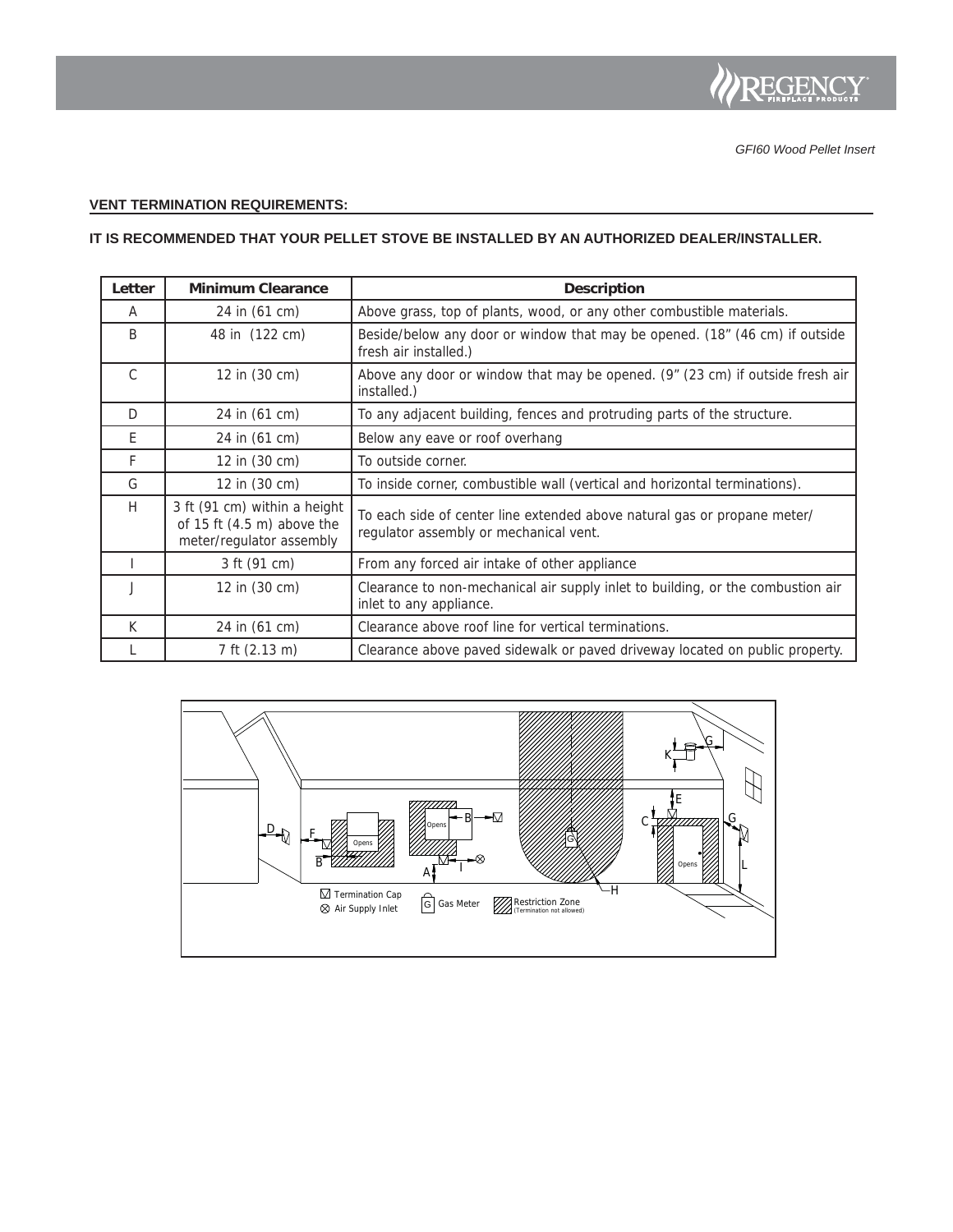

### **VENT TERMINATION REQUIREMENTS:**

#### **IT IS RECOMMENDED THAT YOUR PELLET STOVE BE INSTALLED BY AN AUTHORIZED DEALER/INSTALLER.**

| Letter        | <b>Minimum Clearance</b>                                                                         | <b>Description</b>                                                                                                 |
|---------------|--------------------------------------------------------------------------------------------------|--------------------------------------------------------------------------------------------------------------------|
| A             | 24 in (61 cm)                                                                                    | Above grass, top of plants, wood, or any other combustible materials.                                              |
| B             | 48 in (122 cm)                                                                                   | Beside/below any door or window that may be opened. (18" (46 cm) if outside<br>fresh air installed.)               |
| $\mathcal{C}$ | 12 in (30 cm)                                                                                    | Above any door or window that may be opened. (9" (23 cm) if outside fresh air<br>installed.)                       |
| D             | 24 in (61 cm)                                                                                    | To any adjacent building, fences and protruding parts of the structure.                                            |
| E             | 24 in (61 cm)                                                                                    | Below any eave or roof overhang                                                                                    |
| F             | 12 in (30 cm)                                                                                    | To outside corner.                                                                                                 |
| G             | 12 in (30 cm)                                                                                    | To inside corner, combustible wall (vertical and horizontal terminations).                                         |
| H             | 3 ft (91 cm) within a height<br>of 15 ft $(4.5 \text{ m})$ above the<br>meter/regulator assembly | To each side of center line extended above natural gas or propane meter/<br>regulator assembly or mechanical vent. |
|               | 3 ft (91 cm)                                                                                     | From any forced air intake of other appliance                                                                      |
|               | 12 in (30 cm)                                                                                    | Clearance to non-mechanical air supply inlet to building, or the combustion air<br>inlet to any appliance.         |
| K             | 24 in (61 cm)                                                                                    | Clearance above roof line for vertical terminations.                                                               |
|               | 7 ft (2.13 m)                                                                                    | Clearance above paved sidewalk or paved driveway located on public property.                                       |

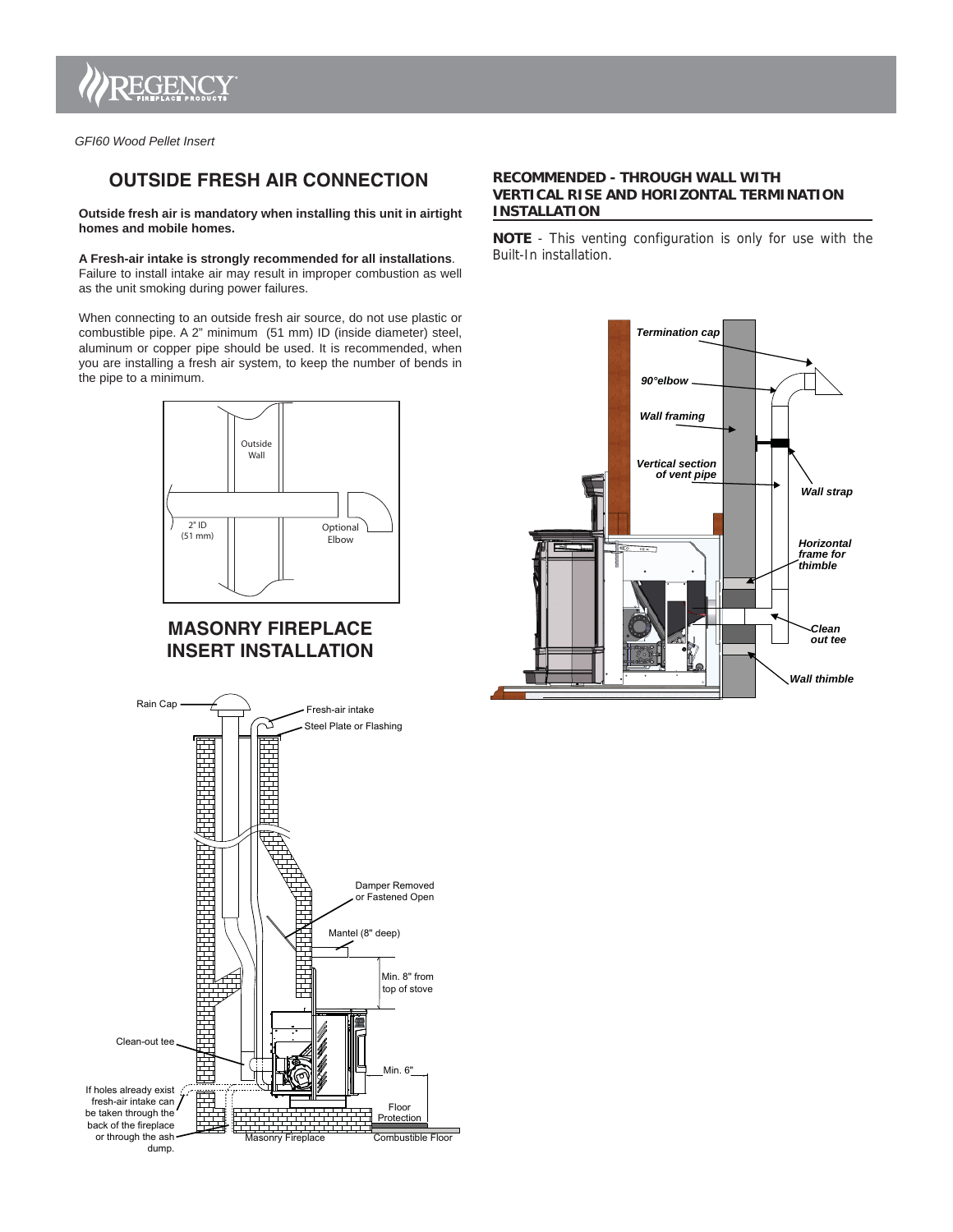

*GFI60 Wood Pellet Insert*

# **OUTSIDE FRESH AIR CONNECTION**

**Outside fresh air is mandatory when installing this unit in airtight homes and mobile homes.**

#### **A Fresh-air intake is strongly recommended for all installations**.

Failure to install intake air may result in improper combustion as well as the unit smoking during power failures.

When connecting to an outside fresh air source, do not use plastic or combustible pipe. A 2" minimum (51 mm) ID (inside diameter) steel, aluminum or copper pipe should be used. It is recommended, when you are installing a fresh air system, to keep the number of bends in the pipe to a minimum.



### **MASONRY FIREPLACE INSERT INSTALLATION**



#### **RECOMMENDED - THROUGH WALL WITH VERTICAL RISE AND HORIZONTAL TERMINATION INSTALLATION**

**NOTE** - This venting configuration is only for use with the Built-In installation.